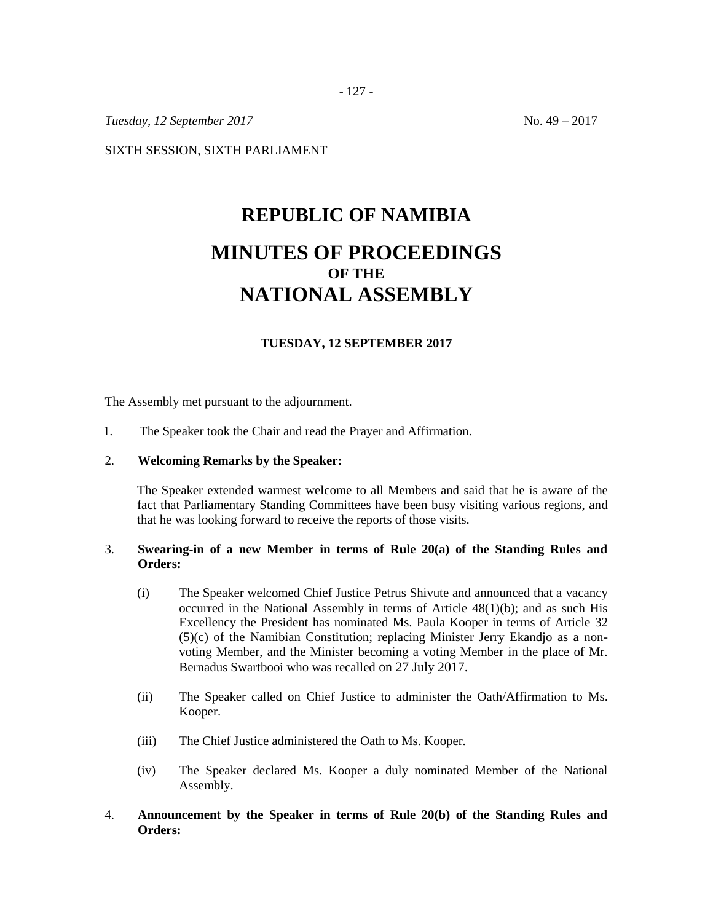SIXTH SESSION, SIXTH PARLIAMENT

# **REPUBLIC OF NAMIBIA MINUTES OF PROCEEDINGS OF THE NATIONAL ASSEMBLY**

## **TUESDAY, 12 SEPTEMBER 2017**

The Assembly met pursuant to the adjournment.

- 1. The Speaker took the Chair and read the Prayer and Affirmation.
- 2. **Welcoming Remarks by the Speaker:**

The Speaker extended warmest welcome to all Members and said that he is aware of the fact that Parliamentary Standing Committees have been busy visiting various regions, and that he was looking forward to receive the reports of those visits.

#### 3. **Swearing-in of a new Member in terms of Rule 20(a) of the Standing Rules and Orders:**

- (i) The Speaker welcomed Chief Justice Petrus Shivute and announced that a vacancy occurred in the National Assembly in terms of Article 48(1)(b); and as such His Excellency the President has nominated Ms. Paula Kooper in terms of Article 32 (5)(c) of the Namibian Constitution; replacing Minister Jerry Ekandjo as a nonvoting Member, and the Minister becoming a voting Member in the place of Mr. Bernadus Swartbooi who was recalled on 27 July 2017.
- (ii) The Speaker called on Chief Justice to administer the Oath/Affirmation to Ms. Kooper.
- (iii) The Chief Justice administered the Oath to Ms. Kooper.
- (iv) The Speaker declared Ms. Kooper a duly nominated Member of the National Assembly.

#### 4. **Announcement by the Speaker in terms of Rule 20(b) of the Standing Rules and Orders:**

*Tuesday, 12 September 2017* No. 49 – 2017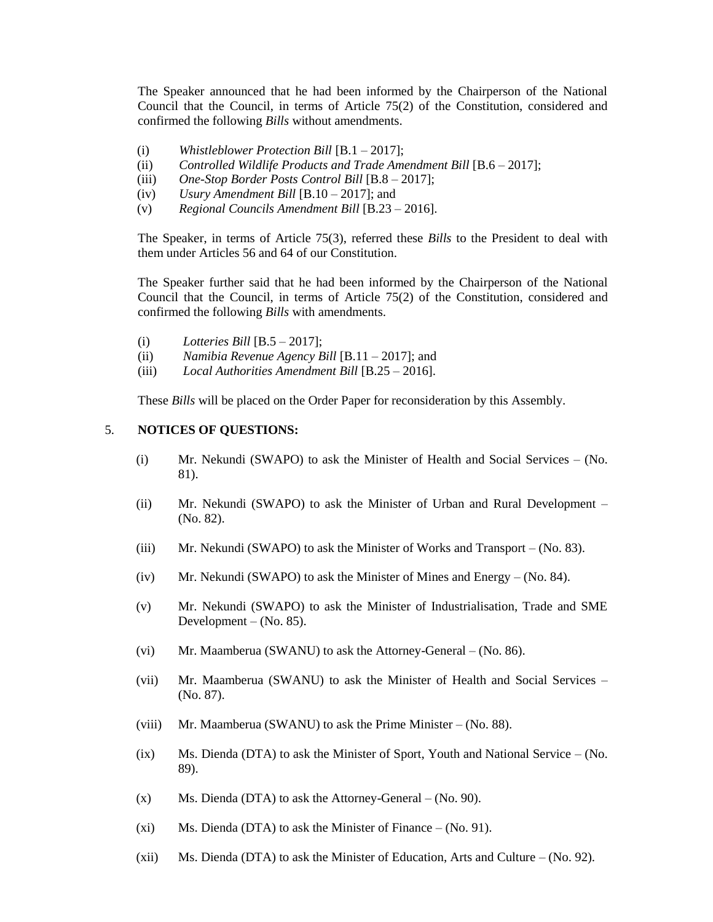The Speaker announced that he had been informed by the Chairperson of the National Council that the Council, in terms of Article 75(2) of the Constitution, considered and confirmed the following *Bills* without amendments.

- (i) *Whistleblower Protection Bill* [B.1 2017];
- (ii) *Controlled Wildlife Products and Trade Amendment Bill* [B.6 2017];
- (iii) *One-Stop Border Posts Control Bill* [B.8 2017];
- (iv) *Usury Amendment Bill* [B.10 2017]; and
- (v) *Regional Councils Amendment Bill* [B.23 2016].

The Speaker, in terms of Article 75(3), referred these *Bills* to the President to deal with them under Articles 56 and 64 of our Constitution.

The Speaker further said that he had been informed by the Chairperson of the National Council that the Council, in terms of Article 75(2) of the Constitution, considered and confirmed the following *Bills* with amendments.

- (i) *Lotteries Bill* [B.5 2017];
- (ii) *Namibia Revenue Agency Bill* [B.11 2017]; and
- (iii) *Local Authorities Amendment Bill* [B.25 2016].

These *Bills* will be placed on the Order Paper for reconsideration by this Assembly.

### 5. **NOTICES OF QUESTIONS:**

- (i) Mr. Nekundi (SWAPO) to ask the Minister of Health and Social Services (No. 81).
- (ii) Mr. Nekundi (SWAPO) to ask the Minister of Urban and Rural Development (No. 82).
- (iii) Mr. Nekundi (SWAPO) to ask the Minister of Works and Transport  $-$  (No. 83).
- (iv) Mr. Nekundi (SWAPO) to ask the Minister of Mines and Energy  $-$  (No. 84).
- (v) Mr. Nekundi (SWAPO) to ask the Minister of Industrialisation, Trade and SME Development –  $(No. 85)$ .
- (vi) Mr. Maamberua (SWANU) to ask the Attorney-General (No. 86).
- (vii) Mr. Maamberua (SWANU) to ask the Minister of Health and Social Services (No. 87).
- (viii) Mr. Maamberua (SWANU) to ask the Prime Minister (No. 88).
- $(ix)$  Ms. Dienda (DTA) to ask the Minister of Sport, Youth and National Service (No. 89).
- $(x)$  Ms. Dienda (DTA) to ask the Attorney-General (No. 90).
- (xi) Ms. Dienda (DTA) to ask the Minister of Finance  $-$  (No. 91).
- (xii) Ms. Dienda (DTA) to ask the Minister of Education, Arts and Culture (No. 92).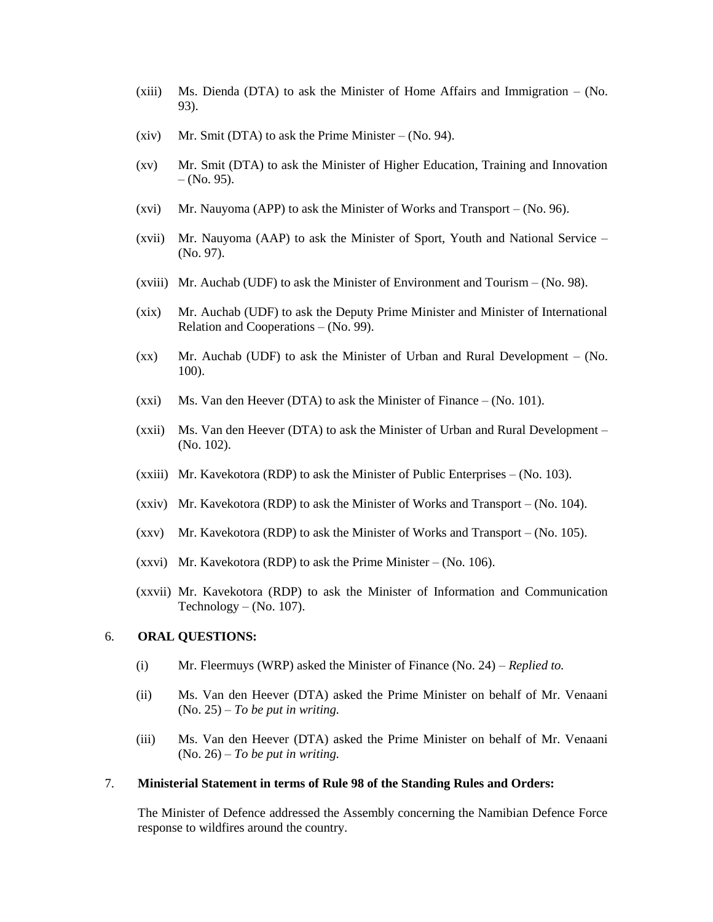- (xiii) Ms. Dienda (DTA) to ask the Minister of Home Affairs and Immigration (No. 93).
- (xiv) Mr. Smit (DTA) to ask the Prime Minister (No. 94).
- (xv) Mr. Smit (DTA) to ask the Minister of Higher Education, Training and Innovation  $-$  (No. 95).
- (xvi) Mr. Nauyoma (APP) to ask the Minister of Works and Transport (No. 96).
- (xvii) Mr. Nauyoma (AAP) to ask the Minister of Sport, Youth and National Service (No. 97).
- (xviii) Mr. Auchab (UDF) to ask the Minister of Environment and Tourism (No. 98).
- (xix) Mr. Auchab (UDF) to ask the Deputy Prime Minister and Minister of International Relation and Cooperations – (No. 99).
- (xx) Mr. Auchab (UDF) to ask the Minister of Urban and Rural Development (No. 100).
- (xxi) Ms. Van den Heever (DTA) to ask the Minister of Finance  $-$  (No. 101).
- (xxii) Ms. Van den Heever (DTA) to ask the Minister of Urban and Rural Development (No. 102).
- (xxiii) Mr. Kavekotora (RDP) to ask the Minister of Public Enterprises (No. 103).
- (xxiv) Mr. Kavekotora (RDP) to ask the Minister of Works and Transport (No. 104).
- $(xxy)$  Mr. Kavekotora (RDP) to ask the Minister of Works and Transport (No. 105).
- (xxvi) Mr. Kavekotora (RDP) to ask the Prime Minister (No. 106).
- (xxvii) Mr. Kavekotora (RDP) to ask the Minister of Information and Communication Technology – (No. 107).

#### 6. **ORAL QUESTIONS:**

- (i) Mr. Fleermuys (WRP) asked the Minister of Finance (No. 24) *Replied to.*
- (ii) Ms. Van den Heever (DTA) asked the Prime Minister on behalf of Mr. Venaani (No. 25) – *To be put in writing.*
- (iii) Ms. Van den Heever (DTA) asked the Prime Minister on behalf of Mr. Venaani (No. 26) – *To be put in writing.*

#### 7. **Ministerial Statement in terms of Rule 98 of the Standing Rules and Orders:**

The Minister of Defence addressed the Assembly concerning the Namibian Defence Force response to wildfires around the country.